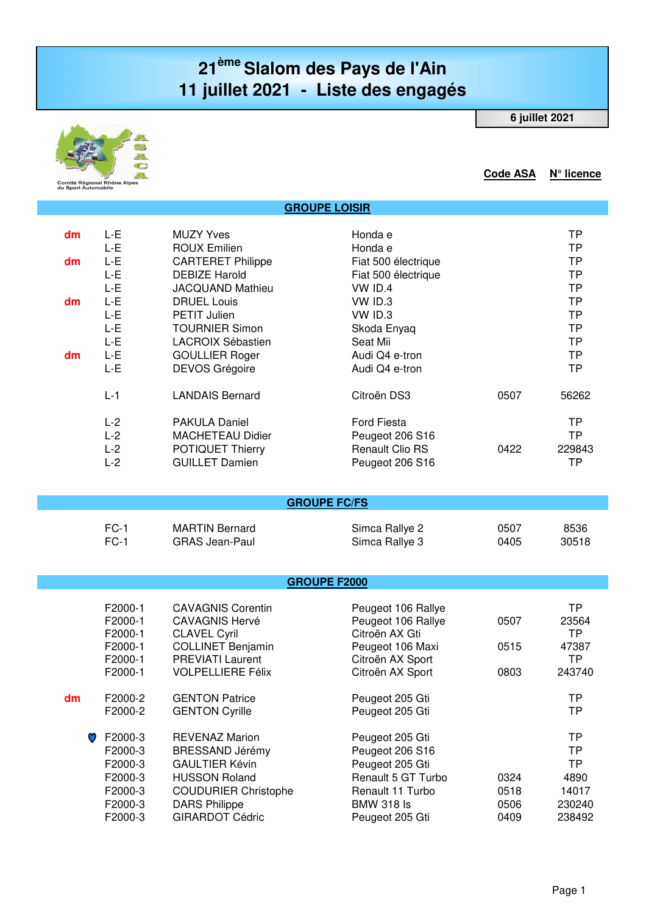## **21ème Slalom des Pays de l'Ain 11 juillet 2021 - Liste des engagés**

 **GROUPE LOISIR**

**6 juillet 2021**



**Code ASA N° licence**

| dm | L-E   | <b>MUZY Yves</b>         | Honda e                |      | ТP     |
|----|-------|--------------------------|------------------------|------|--------|
|    | L-E   | <b>ROUX Emilien</b>      | Honda e                |      | ТP     |
| dm | L-E   | <b>CARTERET Philippe</b> | Fiat 500 électrique    |      | TP     |
|    | L-E   | <b>DEBIZE Harold</b>     | Fiat 500 électrique    |      | ТP     |
|    | L-E   | <b>JACQUAND Mathieu</b>  | $VW$ ID.4              |      | TP     |
| dm | L-E   | <b>DRUEL Louis</b>       | VW ID.3                |      | TP     |
|    | L-E   | <b>PETIT Julien</b>      | VW ID.3                |      | TP     |
|    | L-E   | <b>TOURNIER Simon</b>    | Skoda Enyaq            |      | TP     |
|    | L-E   | LACROIX Sébastien        | Seat Mii               |      | ТP     |
| dm | L-E   | <b>GOULLIER Roger</b>    | Audi Q4 e-tron         |      | ТP     |
|    | L-E   | <b>DEVOS Grégoire</b>    | Audi Q4 e-tron         |      | ТP     |
|    | $L-1$ | <b>LANDAIS Bernard</b>   | Citroën DS3            | 0507 | 56262  |
|    | $L-2$ | <b>PAKULA Daniel</b>     | <b>Ford Fiesta</b>     |      | TP     |
|    | $L-2$ | <b>MACHETEAU Didier</b>  | Peugeot 206 S16        |      | TP     |
|    | $L-2$ | POTIQUET Thierry         | <b>Renault Clio RS</b> | 0422 | 229843 |
|    | $L-2$ | <b>GUILLET Damien</b>    | Peugeot 206 S16        |      | ТP     |
|    |       |                          |                        |      |        |

| $FC-1$ | <b>MARTIN Bernard</b> | Simca Rallye 2 | 0507 | 8536  |
|--------|-----------------------|----------------|------|-------|
| $FC-1$ | GRAS Jean-Paul        | Simca Rallye 3 | 0405 | 30518 |

## **GROUPE F2000**

|    |   | F2000-1<br>F2000-1<br>F2000-1<br>F2000-1 | <b>CAVAGNIS Corentin</b><br><b>CAVAGNIS Hervé</b><br><b>CLAVEL Cyril</b><br><b>COLLINET Benjamin</b> | Peugeot 106 Rallye<br>Peugeot 106 Rallye<br>Citroën AX Gti<br>Peugeot 106 Maxi | 0507<br>0515 | ТP<br>23564<br>TP<br>47387 |
|----|---|------------------------------------------|------------------------------------------------------------------------------------------------------|--------------------------------------------------------------------------------|--------------|----------------------------|
|    |   | F2000-1                                  | <b>PREVIATI Laurent</b>                                                                              | Citroën AX Sport                                                               |              | TP                         |
|    |   | F2000-1                                  | <b>VOLPELLIERE Félix</b>                                                                             | Citroën AX Sport                                                               | 0803         | 243740                     |
| dm |   | F2000-2                                  | <b>GENTON Patrice</b>                                                                                | Peugeot 205 Gti                                                                |              | ТP                         |
|    |   | F2000-2                                  | <b>GENTON Cyrille</b>                                                                                | Peugeot 205 Gti                                                                |              | TР                         |
|    | O | F2000-3                                  | <b>REVENAZ Marion</b>                                                                                | Peugeot 205 Gti                                                                |              | TР                         |
|    |   | F2000-3                                  | <b>BRESSAND Jérémy</b>                                                                               | Peugeot 206 S16                                                                |              | TР                         |
|    |   | F2000-3                                  | <b>GAULTIER Kévin</b>                                                                                | Peugeot 205 Gti                                                                |              | TР                         |
|    |   | F2000-3                                  | <b>HUSSON Roland</b>                                                                                 | Renault 5 GT Turbo                                                             | 0324         | 4890                       |
|    |   | F2000-3                                  | <b>COUDURIER Christophe</b>                                                                          | Renault 11 Turbo                                                               | 0518         | 14017                      |
|    |   | F2000-3                                  | <b>DARS Philippe</b>                                                                                 | <b>BMW 318 Is</b>                                                              | 0506         | 230240                     |
|    |   | F2000-3                                  | <b>GIRARDOT Cédric</b>                                                                               | Peugeot 205 Gti                                                                | 0409         | 238492                     |
|    |   |                                          |                                                                                                      |                                                                                |              |                            |